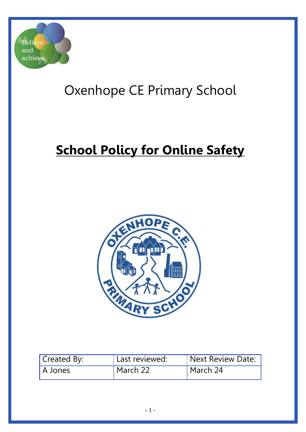

# Oxenhope CE Primary School

# **School Policy for Online Safety**



| Created By: | Last reviewed: | Next Review Date: |
|-------------|----------------|-------------------|
| ' A Jones   | March 22       | March 24          |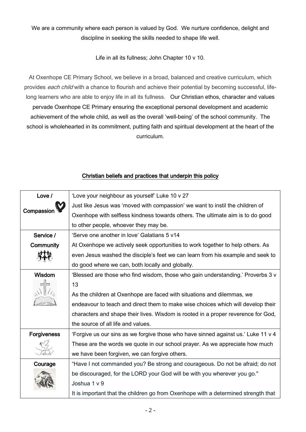We are a community where each person is valued by God. We nurture confidence, delight and discipline in seeking the skills needed to shape life well.

Life in all its fullness; John Chapter 10 v 10.

At Oxenhope CE Primary School, we believe in a broad, balanced and creative curriculum, which provides *each child* with a chance to flourish and achieve their potential by becoming successful, lifelong learners who are able to enjoy life in all its fullness. Our Christian ethos, character and values pervade Oxenhope CE Primary ensuring the exceptional personal development and academic achievement of the whole child, as well as the overall 'well-being' of the school community. The school is wholehearted in its commitment, putting faith and spiritual development at the heart of the curriculum.

### Christian beliefs and practices that underpin this policy

| Love /             | 'Love your neighbour as yourself' Luke 10 v 27                                     |  |  |
|--------------------|------------------------------------------------------------------------------------|--|--|
|                    | Just like Jesus was 'moved with compassion' we want to instil the children of      |  |  |
| Compassion         | Oxenhope with selfless kindness towards others. The ultimate aim is to do good     |  |  |
|                    | to other people, whoever they may be.                                              |  |  |
| Service /          | 'Serve one another in love' Galatians 5 v14                                        |  |  |
| Community          | At Oxenhope we actively seek opportunities to work together to help others. As     |  |  |
|                    | even Jesus washed the disciple's feet we can learn from his example and seek to    |  |  |
|                    | do good where we can, both locally and globally.                                   |  |  |
| Wisdom             | 'Blessed are those who find wisdom, those who gain understanding.' Proverbs 3 v    |  |  |
|                    | 13                                                                                 |  |  |
|                    | As the children at Oxenhope are faced with situations and dilemmas, we             |  |  |
|                    | endeavour to teach and direct them to make wise choices which will develop their   |  |  |
|                    | characters and shape their lives. Wisdom is rooted in a proper reverence for God,  |  |  |
|                    | the source of all life and values.                                                 |  |  |
| <b>Forgiveness</b> | 'Forgive us our sins as we forgive those who have sinned against us.' Luke 11 v 4  |  |  |
|                    | These are the words we quote in our school prayer. As we appreciate how much       |  |  |
|                    | we have been forgiven, we can forgive others.                                      |  |  |
| Courage            | "Have I not commanded you? Be strong and courageous. Do not be afraid; do not      |  |  |
|                    | be discouraged, for the LORD your God will be with you wherever you go."           |  |  |
|                    | Joshua 1 v 9                                                                       |  |  |
|                    | It is important that the children go from Oxenhope with a determined strength that |  |  |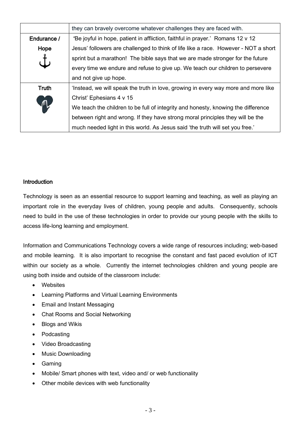|              | they can bravely overcome whatever challenges they are faced with.                  |  |
|--------------|-------------------------------------------------------------------------------------|--|
| Endurance /  | 'Be joyful in hope, patient in affliction, faithful in prayer.' Romans 12 v 12      |  |
| Hope         | Jesus' followers are challenged to think of life like a race. However - NOT a short |  |
|              | sprint but a marathon! The bible says that we are made stronger for the future      |  |
|              | every time we endure and refuse to give up. We teach our children to persevere      |  |
|              | and not give up hope.                                                               |  |
| <b>Truth</b> | 'Instead, we will speak the truth in love, growing in every way more and more like  |  |
| ጠ            | Christ' Ephesians 4 v 15                                                            |  |
|              | We teach the children to be full of integrity and honesty, knowing the difference   |  |
|              | between right and wrong. If they have strong moral principles they will be the      |  |
|              | much needed light in this world. As Jesus said 'the truth will set you free.'       |  |

#### **Introduction**

Technology is seen as an essential resource to support learning and teaching, as well as playing an important role in the everyday lives of children, young people and adults. Consequently, schools need to build in the use of these technologies in order to provide our young people with the skills to access life-long learning and employment.

Information and Communications Technology covers a wide range of resources including; web-based and mobile learning. It is also important to recognise the constant and fast paced evolution of ICT within our society as a whole. Currently the internet technologies children and young people are using both inside and outside of the classroom include:

- Websites
- Learning Platforms and Virtual Learning Environments
- Email and Instant Messaging
- Chat Rooms and Social Networking
- Blogs and Wikis
- Podcasting
- Video Broadcasting
- Music Downloading
- Gaming
- Mobile/ Smart phones with text, video and/ or web functionality
- Other mobile devices with web functionality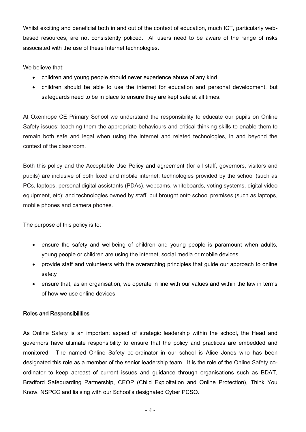Whilst exciting and beneficial both in and out of the context of education, much ICT, particularly webbased resources, are not consistently policed. All users need to be aware of the range of risks associated with the use of these Internet technologies.

We believe that:

- children and young people should never experience abuse of any kind
- children should be able to use the internet for education and personal development, but safeguards need to be in place to ensure they are kept safe at all times.

At Oxenhope CE Primary School we understand the responsibility to educate our pupils on Online Safety issues; teaching them the appropriate behaviours and critical thinking skills to enable them to remain both safe and legal when using the internet and related technologies, in and beyond the context of the classroom.

Both this policy and the Acceptable Use Policy and agreement (for all staff, governors, visitors and pupils) are inclusive of both fixed and mobile internet; technologies provided by the school (such as PCs, laptops, personal digital assistants (PDAs), webcams, whiteboards, voting systems, digital video equipment, etc); and technologies owned by staff, but brought onto school premises (such as laptops, mobile phones and camera phones.

The purpose of this policy is to:

- ensure the safety and wellbeing of children and young people is paramount when adults, young people or children are using the internet, social media or mobile devices
- provide staff and volunteers with the overarching principles that guide our approach to online safety
- ensure that, as an organisation, we operate in line with our values and within the law in terms of how we use online devices.

#### Roles and Responsibilities

As Online Safety is an important aspect of strategic leadership within the school, the Head and governors have ultimate responsibility to ensure that the policy and practices are embedded and monitored. The named Online Safety co-ordinator in our school is Alice Jones who has been designated this role as a member of the senior leadership team. It is the role of the Online Safety coordinator to keep abreast of current issues and guidance through organisations such as BDAT, Bradford Safeguarding Partnership, CEOP (Child Exploitation and Online Protection), Think You Know, NSPCC and liaising with our School's designated Cyber PCSO.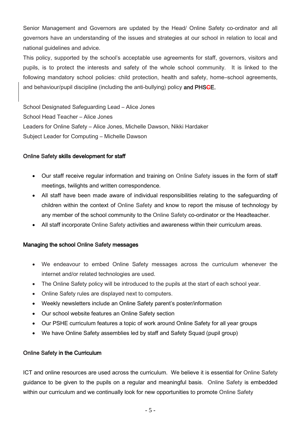Senior Management and Governors are updated by the Head/ Online Safety co-ordinator and all governors have an understanding of the issues and strategies at our school in relation to local and national guidelines and advice.

This policy, supported by the school's acceptable use agreements for staff, governors, visitors and pupils, is to protect the interests and safety of the whole school community. It is linked to the following mandatory school policies: child protection, health and safety, home–school agreements, and behaviour/pupil discipline (including the anti-bullying) policy and PHSGE.

School Designated Safeguarding Lead – Alice Jones School Head Teacher – Alice Jones Leaders for Online Safety – Alice Jones, Michelle Dawson, Nikki Hardaker Subject Leader for Computing – Michelle Dawson

#### Online Safety skills development for staff

- Our staff receive regular information and training on Online Safety issues in the form of staff meetings, twilights and written correspondence.
- All staff have been made aware of individual responsibilities relating to the safeguarding of children within the context of Online Safety and know to report the misuse of technology by any member of the school community to the Online Safety co-ordinator or the Headteacher.
- All staff incorporate Online Safety activities and awareness within their curriculum areas.

#### Managing the school Online Safety messages

- We endeavour to embed Online Safety messages across the curriculum whenever the internet and/or related technologies are used.
- The Online Safety policy will be introduced to the pupils at the start of each school year.
- Online Safety rules are displayed next to computers.
- Weekly newsletters include an Online Safety parent's poster/information
- Our school website features an Online Safety section
- Our PSHE curriculum features a topic of work around Online Safety for all year groups
- We have Online Safety assemblies led by staff and Safety Squad (pupil group)

#### Online Safety in the Curriculum

ICT and online resources are used across the curriculum. We believe it is essential for Online Safety guidance to be given to the pupils on a regular and meaningful basis. Online Safety is embedded within our curriculum and we continually look for new opportunities to promote Online Safety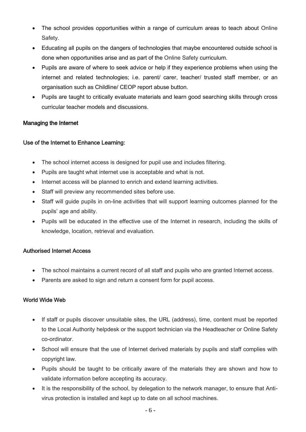- The school provides opportunities within a range of curriculum areas to teach about Online Safety.
- Educating all pupils on the dangers of technologies that maybe encountered outside school is done when opportunities arise and as part of the Online Safety curriculum.
- Pupils are aware of where to seek advice or help if they experience problems when using the internet and related technologies; i.e. parent/ carer, teacher/ trusted staff member, or an organisation such as Childline/ CEOP report abuse button.
- Pupils are taught to critically evaluate materials and learn good searching skills through cross curricular teacher models and discussions.

#### Managing the Internet

#### Use of the Internet to Enhance Learning:

- The school internet access is designed for pupil use and includes filtering.
- Pupils are taught what internet use is acceptable and what is not.
- Internet access will be planned to enrich and extend learning activities.
- Staff will preview any recommended sites before use.
- Staff will guide pupils in on-line activities that will support learning outcomes planned for the pupils' age and ability.
- Pupils will be educated in the effective use of the Internet in research, including the skills of knowledge, location, retrieval and evaluation.

#### Authorised Internet Access

- The school maintains a current record of all staff and pupils who are granted Internet access.
- Parents are asked to sign and return a consent form for pupil access.

#### World Wide Web

- If staff or pupils discover unsuitable sites, the URL (address), time, content must be reported to the Local Authority helpdesk or the support technician via the Headteacher or Online Safety co-ordinator.
- School will ensure that the use of Internet derived materials by pupils and staff complies with copyright law.
- Pupils should be taught to be critically aware of the materials they are shown and how to validate information before accepting its accuracy.
- It is the responsibility of the school, by delegation to the network manager, to ensure that Antivirus protection is installed and kept up to date on all school machines.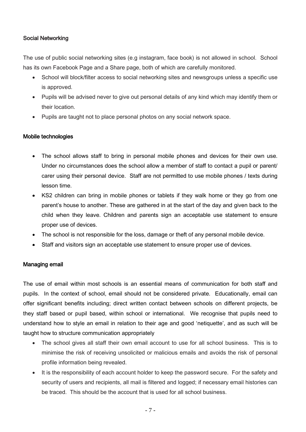#### Social Networking

The use of public social networking sites (e.g instagram, face book) is not allowed in school. School has its own Facebook Page and a Share page, both of which are carefully monitored.

- School will block/filter access to social networking sites and newsgroups unless a specific use is approved.
- Pupils will be advised never to give out personal details of any kind which may identify them or their location.
- Pupils are taught not to place personal photos on any social network space.

#### Mobile technologies

- The school allows staff to bring in personal mobile phones and devices for their own use. Under no circumstances does the school allow a member of staff to contact a pupil or parent/ carer using their personal device. Staff are not permitted to use mobile phones / texts during lesson time.
- KS2 children can bring in mobile phones or tablets if they walk home or they go from one parent's house to another. These are gathered in at the start of the day and given back to the child when they leave. Children and parents sign an acceptable use statement to ensure proper use of devices.
- The school is not responsible for the loss, damage or theft of any personal mobile device.
- Staff and visitors sign an acceptable use statement to ensure proper use of devices.

#### Managing email

The use of email within most schools is an essential means of communication for both staff and pupils. In the context of school, email should not be considered private. Educationally, email can offer significant benefits including; direct written contact between schools on different projects, be they staff based or pupil based, within school or international. We recognise that pupils need to understand how to style an email in relation to their age and good 'netiquette', and as such will be taught how to structure communication appropriately

- The school gives all staff their own email account to use for all school business. This is to minimise the risk of receiving unsolicited or malicious emails and avoids the risk of personal profile information being revealed.
- It is the responsibility of each account holder to keep the password secure. For the safety and security of users and recipients, all mail is filtered and logged; if necessary email histories can be traced. This should be the account that is used for all school business.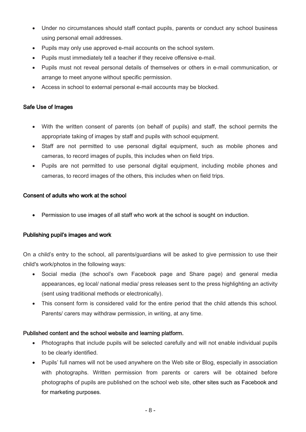- Under no circumstances should staff contact pupils, parents or conduct any school business using personal email addresses.
- Pupils may only use approved e-mail accounts on the school system.
- Pupils must immediately tell a teacher if they receive offensive e-mail.
- Pupils must not reveal personal details of themselves or others in e-mail communication, or arrange to meet anyone without specific permission.
- Access in school to external personal e-mail accounts may be blocked.

#### Safe Use of Images

- With the written consent of parents (on behalf of pupils) and staff, the school permits the appropriate taking of images by staff and pupils with school equipment.
- Staff are not permitted to use personal digital equipment, such as mobile phones and cameras, to record images of pupils, this includes when on field trips.
- Pupils are not permitted to use personal digital equipment, including mobile phones and cameras, to record images of the others, this includes when on field trips.

#### Consent of adults who work at the school

Permission to use images of all staff who work at the school is sought on induction.

#### Publishing pupil's images and work

On a child's entry to the school, all parents/guardians will be asked to give permission to use their child's work/photos in the following ways:

- Social media (the school's own Facebook page and Share page) and general media appearances, eg local/ national media/ press releases sent to the press highlighting an activity (sent using traditional methods or electronically).
- This consent form is considered valid for the entire period that the child attends this school. Parents/ carers may withdraw permission, in writing, at any time.

#### Published content and the school website and learning platform.

- Photographs that include pupils will be selected carefully and will not enable individual pupils to be clearly identified.
- Pupils' full names will not be used anywhere on the Web site or Blog, especially in association with photographs. Written permission from parents or carers will be obtained before photographs of pupils are published on the school web site, other sites such as Facebook and for marketing purposes.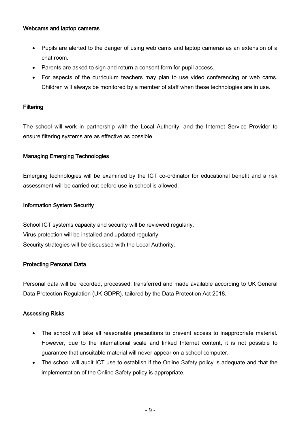#### Webcams and laptop cameras

- Pupils are alerted to the danger of using web cams and laptop cameras as an extension of a chat room.
- Parents are asked to sign and return a consent form for pupil access.
- For aspects of the curriculum teachers may plan to use video conferencing or web cams. Children will always be monitored by a member of staff when these technologies are in use.

#### **Filtering**

The school will work in partnership with the Local Authority, and the Internet Service Provider to ensure filtering systems are as effective as possible.

#### Managing Emerging Technologies

Emerging technologies will be examined by the ICT co-ordinator for educational benefit and a risk assessment will be carried out before use in school is allowed.

#### Information System Security

School ICT systems capacity and security will be reviewed regularly. Virus protection will be installed and updated regularly. Security strategies will be discussed with the Local Authority.

#### Protecting Personal Data

Personal data will be recorded, processed, transferred and made available according to UK General Data Protection Regulation (UK GDPR), tailored by the Data Protection Act 2018.

#### Assessing Risks

- The school will take all reasonable precautions to prevent access to inappropriate material. However, due to the international scale and linked Internet content, it is not possible to guarantee that unsuitable material will never appear on a school computer.
- The school will audit ICT use to establish if the Online Safety policy is adequate and that the implementation of the Online Safety policy is appropriate.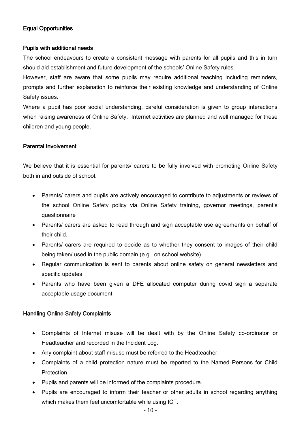#### Equal Opportunities

#### Pupils with additional needs

The school endeavours to create a consistent message with parents for all pupils and this in turn should aid establishment and future development of the schools' Online Safety rules.

However, staff are aware that some pupils may require additional teaching including reminders, prompts and further explanation to reinforce their existing knowledge and understanding of Online Safety issues.

Where a pupil has poor social understanding, careful consideration is given to group interactions when raising awareness of Online Safety. Internet activities are planned and well managed for these children and young people.

#### Parental Involvement

We believe that it is essential for parents/ carers to be fully involved with promoting Online Safety both in and outside of school.

- Parents/ carers and pupils are actively encouraged to contribute to adjustments or reviews of the school Online Safety policy via Online Safety training, governor meetings, parent's questionnaire
- Parents/ carers are asked to read through and sign acceptable use agreements on behalf of their child.
- Parents/ carers are required to decide as to whether they consent to images of their child being taken/ used in the public domain (e.g., on school website)
- Regular communication is sent to parents about online safety on general newsletters and specific updates
- Parents who have been given a DFE allocated computer during covid sign a separate acceptable usage document

#### Handling Online Safety Complaints

- Complaints of Internet misuse will be dealt with by the Online Safety co-ordinator or Headteacher and recorded in the Incident Log.
- Any complaint about staff misuse must be referred to the Headteacher.
- Complaints of a child protection nature must be reported to the Named Persons for Child Protection.
- Pupils and parents will be informed of the complaints procedure.
- Pupils are encouraged to inform their teacher or other adults in school regarding anything which makes them feel uncomfortable while using ICT.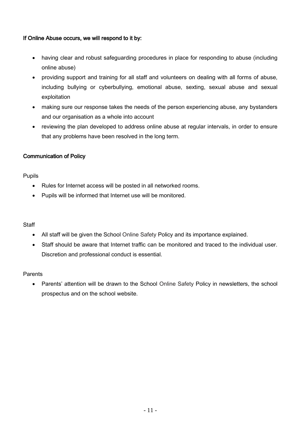#### If Online Abuse occurs, we will respond to it by:

- having clear and robust safeguarding procedures in place for responding to abuse (including online abuse)
- providing support and training for all staff and volunteers on dealing with all forms of abuse, including bullying or cyberbullying, emotional abuse, sexting, sexual abuse and sexual exploitation
- making sure our response takes the needs of the person experiencing abuse, any bystanders and our organisation as a whole into account
- reviewing the plan developed to address online abuse at regular intervals, in order to ensure that any problems have been resolved in the long term.

#### Communication of Policy

#### Pupils

- Rules for Internet access will be posted in all networked rooms.
- Pupils will be informed that Internet use will be monitored.

#### **Staff**

- All staff will be given the School Online Safety Policy and its importance explained.
- Staff should be aware that Internet traffic can be monitored and traced to the individual user. Discretion and professional conduct is essential.

#### Parents

• Parents' attention will be drawn to the School Online Safety Policy in newsletters, the school prospectus and on the school website.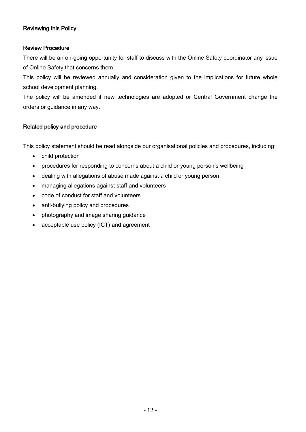#### Reviewing this Policy

#### Review Procedure

There will be an on-going opportunity for staff to discuss with the Online Safety coordinator any issue of Online Safety that concerns them.

This policy will be reviewed annually and consideration given to the implications for future whole school development planning.

The policy will be amended if new technologies are adopted or Central Government change the orders or guidance in any way.

#### Related policy and procedure

This policy statement should be read alongside our organisational policies and procedures, including:

- child protection
- procedures for responding to concerns about a child or young person's wellbeing
- dealing with allegations of abuse made against a child or young person
- managing allegations against staff and volunteers
- code of conduct for staff and volunteers
- anti-bullying policy and procedures
- photography and image sharing guidance
- acceptable use policy (ICT) and agreement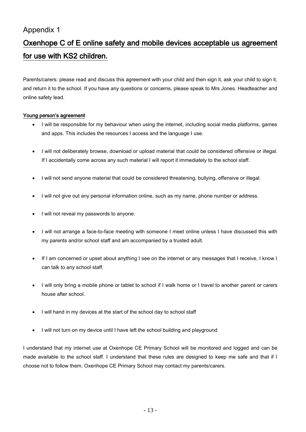### Appendix 1

## Oxenhope C of E online safety and mobile devices acceptable us agreement for use with KS2 children.

Parents/carers: please read and discuss this agreement with your child and then sign it, ask your child to sign it, and return it to the school. If you have any questions or concerns, please speak to Mrs Jones. Headteacher and online safety lead.

#### Young person's agreement

- I will be responsible for my behaviour when using the internet, including social media platforms, games and apps. This includes the resources I access and the language I use.
- I will not deliberately browse, download or upload material that could be considered offensive or illegal. If I accidentally come across any such material I will report it immediately to the school staff.
- I will not send anyone material that could be considered threatening, bullying, offensive or illegal.
- I will not give out any personal information online, such as my name, phone number or address.
- I will not reveal my passwords to anyone.
- I will not arrange a face-to-face meeting with someone I meet online unless I have discussed this with my parents and/or school staff and am accompanied by a trusted adult.
- If I am concerned or upset about anything I see on the internet or any messages that I receive, I know I can talk to any school staff.
- I will only bring a mobile phone or tablet to school if I walk home or I travel to another parent or carers house after school.
- I will hand in my devices at the start of the school day to school staff
- I will not turn on my device until I have left the school building and playground

I understand that my internet use at Oxenhope CE Primary School will be monitored and logged and can be made available to the school staff. I understand that these rules are designed to keep me safe and that if I choose not to follow them, Oxenhope CE Primary School may contact my parents/carers.